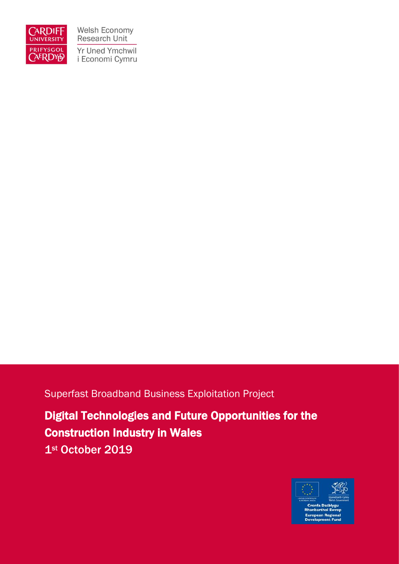

Welsh Economy Research Unit Yr Uned Ymchwil i Economi Cymru

### Superfast Broadband Business Exploitation Project

Digital Technologies and Future Opportunities for the Construction Industry in Wales 1st October 2019

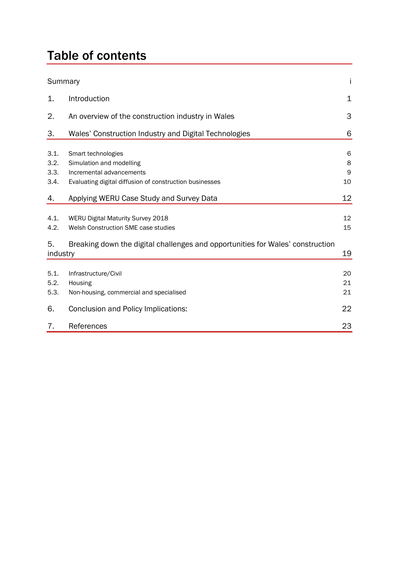# Table of contents

| Summary                      |                                                                                                                                                            | İ                    |
|------------------------------|------------------------------------------------------------------------------------------------------------------------------------------------------------|----------------------|
| 1.                           | Introduction                                                                                                                                               | 1                    |
| 2.                           | An overview of the construction industry in Wales                                                                                                          | 3                    |
| 3.                           | Wales' Construction Industry and Digital Technologies                                                                                                      | 6                    |
| 3.1.<br>3.2.<br>3.3.<br>3.4. | Smart technologies<br>Simulation and modelling<br>Incremental advancements<br>Evaluating digital diffusion of construction businesses                      | 6<br>8<br>9<br>10    |
| 4.                           | Applying WERU Case Study and Survey Data                                                                                                                   | 12                   |
| 4.1.<br>4.2.<br>5.           | WERU Digital Maturity Survey 2018<br>Welsh Construction SME case studies<br>Breaking down the digital challenges and opportunities for Wales' construction | 12<br>15             |
| industry                     |                                                                                                                                                            | 19                   |
| 5.1.<br>5.2.<br>5.3.<br>6.   | Infrastructure/Civil<br>Housing<br>Non-housing, commercial and specialised<br>Conclusion and Policy Implications:                                          | 20<br>21<br>21<br>22 |
| 7.                           | References                                                                                                                                                 | 23                   |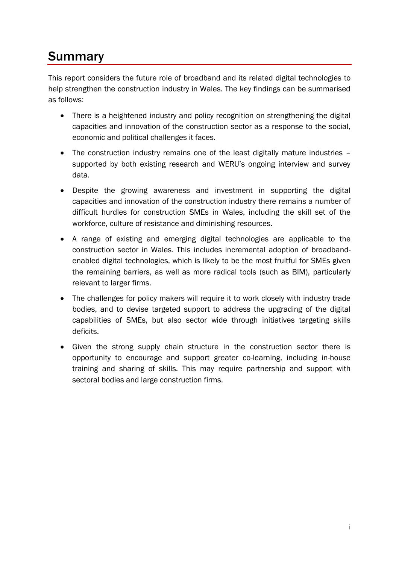# Summary

This report considers the future role of broadband and its related digital technologies to help strengthen the construction industry in Wales. The key findings can be summarised as follows:

- There is a heightened industry and policy recognition on strengthening the digital capacities and innovation of the construction sector as a response to the social, economic and political challenges it faces.
- The construction industry remains one of the least digitally mature industries supported by both existing research and WERU's ongoing interview and survey data.
- Despite the growing awareness and investment in supporting the digital capacities and innovation of the construction industry there remains a number of difficult hurdles for construction SMEs in Wales, including the skill set of the workforce, culture of resistance and diminishing resources.
- A range of existing and emerging digital technologies are applicable to the construction sector in Wales. This includes incremental adoption of broadbandenabled digital technologies, which is likely to be the most fruitful for SMEs given the remaining barriers, as well as more radical tools (such as BIM), particularly relevant to larger firms.
- The challenges for policy makers will require it to work closely with industry trade bodies, and to devise targeted support to address the upgrading of the digital capabilities of SMEs, but also sector wide through initiatives targeting skills deficits.
- Given the strong supply chain structure in the construction sector there is opportunity to encourage and support greater co-learning, including in-house training and sharing of skills. This may require partnership and support with sectoral bodies and large construction firms.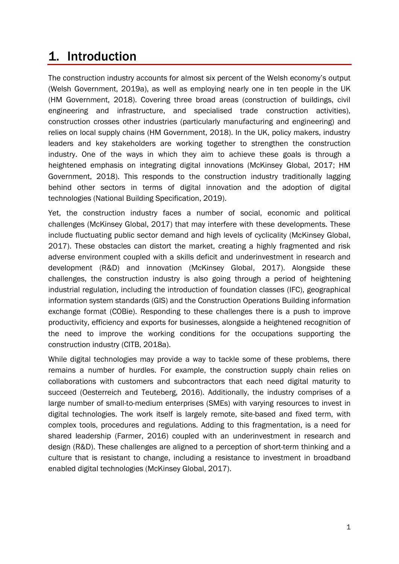### 1. Introduction

The construction industry accounts for almost six percent of the Welsh economy's output (Welsh Government, 2019a), as well as employing nearly one in ten people in the UK (HM Government, 2018). Covering three broad areas (construction of buildings, civil engineering and infrastructure, and specialised trade construction activities), construction crosses other industries (particularly manufacturing and engineering) and relies on local supply chains (HM Government, 2018). In the UK, policy makers, industry leaders and key stakeholders are working together to strengthen the construction industry. One of the ways in which they aim to achieve these goals is through a heightened emphasis on integrating digital innovations (McKinsey Global, 2017; HM Government, 2018). This responds to the construction industry traditionally lagging behind other sectors in terms of digital innovation and the adoption of digital technologies (National Building Specification, 2019).

Yet, the construction industry faces a number of social, economic and political challenges (McKinsey Global, 2017) that may interfere with these developments. These include fluctuating public sector demand and high levels of cyclicality (McKinsey Global, 2017). These obstacles can distort the market, creating a highly fragmented and risk adverse environment coupled with a skills deficit and underinvestment in research and development (R&D) and innovation (McKinsey Global, 2017). Alongside these challenges, the construction industry is also going through a period of heightening industrial regulation, including the introduction of foundation classes (IFC), geographical information system standards (GIS) and the Construction Operations Building information exchange format (COBie). Responding to these challenges there is a push to improve productivity, efficiency and exports for businesses, alongside a heightened recognition of the need to improve the working conditions for the occupations supporting the construction industry (CITB, 2018a).

While digital technologies may provide a way to tackle some of these problems, there remains a number of hurdles. For example, the construction supply chain relies on collaborations with customers and subcontractors that each need digital maturity to succeed (Oesterreich and Teuteberg, 2016). Additionally, the industry comprises of a large number of small-to-medium enterprises (SMEs) with varying resources to invest in digital technologies. The work itself is largely remote, site-based and fixed term, with complex tools, procedures and regulations. Adding to this fragmentation, is a need for shared leadership (Farmer, 2016) coupled with an underinvestment in research and design (R&D). These challenges are aligned to a perception of short-term thinking and a culture that is resistant to change, including a resistance to investment in broadband enabled digital technologies (McKinsey Global, 2017).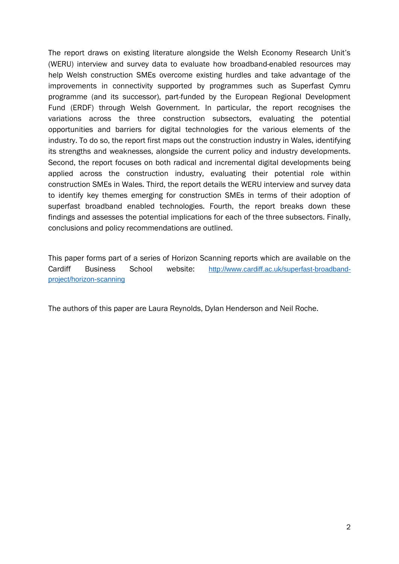The report draws on existing literature alongside the Welsh Economy Research Unit's (WERU) interview and survey data to evaluate how broadband-enabled resources may help Welsh construction SMEs overcome existing hurdles and take advantage of the improvements in connectivity supported by programmes such as Superfast Cymru programme (and its successor), part-funded by the European Regional Development Fund (ERDF) through Welsh Government. In particular, the report recognises the variations across the three construction subsectors, evaluating the potential opportunities and barriers for digital technologies for the various elements of the industry. To do so, the report first maps out the construction industry in Wales, identifying its strengths and weaknesses, alongside the current policy and industry developments. Second, the report focuses on both radical and incremental digital developments being applied across the construction industry, evaluating their potential role within construction SMEs in Wales. Third, the report details the WERU interview and survey data to identify key themes emerging for construction SMEs in terms of their adoption of superfast broadband enabled technologies. Fourth, the report breaks down these findings and assesses the potential implications for each of the three subsectors. Finally, conclusions and policy recommendations are outlined.

This paper forms part of a series of Horizon Scanning reports which are available on the Cardiff Business School website: [http://www.cardiff.ac.uk/superfast-broadband](http://www.cardiff.ac.uk/superfast-broadband-project/horizon-scanning)[project/horizon-scanning](http://www.cardiff.ac.uk/superfast-broadband-project/horizon-scanning)

The authors of this paper are Laura Reynolds, Dylan Henderson and Neil Roche.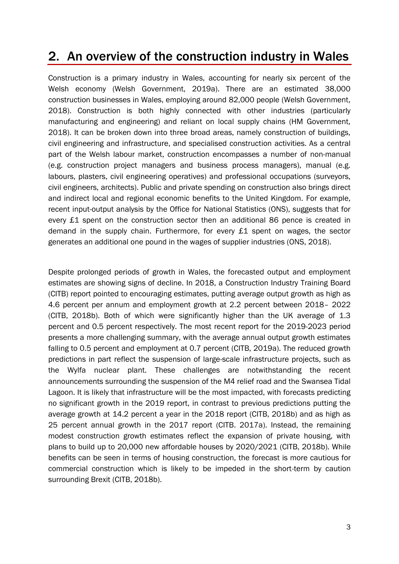# 2. An overview of the construction industry in Wales

Construction is a primary industry in Wales, accounting for nearly six percent of the Welsh economy (Welsh Government, 2019a). There are an estimated 38,000 construction businesses in Wales, employing around 82,000 people (Welsh Government, 2018). Construction is both highly connected with other industries (particularly manufacturing and engineering) and reliant on local supply chains (HM Government, 2018). It can be broken down into three broad areas, namely construction of buildings, civil engineering and infrastructure, and specialised construction activities. As a central part of the Welsh labour market, construction encompasses a number of non-manual (e.g. construction project managers and business process managers), manual (e.g. labours, plasters, civil engineering operatives) and professional occupations (surveyors, civil engineers, architects). Public and private spending on construction also brings direct and indirect local and regional economic benefits to the United Kingdom. For example, recent input-output analysis by the Office for National Statistics (ONS), suggests that for every £1 spent on the construction sector then an additional 86 pence is created in demand in the supply chain. Furthermore, for every £1 spent on wages, the sector generates an additional one pound in the wages of supplier industries (ONS, 2018).

Despite prolonged periods of growth in Wales, the forecasted output and employment estimates are showing signs of decline. In 2018, a Construction Industry Training Board (CITB) report pointed to encouraging estimates, putting average output growth as high as 4.6 percent per annum and employment growth at 2.2 percent between 2018– 2022 (CITB, 2018b). Both of which were significantly higher than the UK average of 1.3 percent and 0.5 percent respectively. The most recent report for the 2019-2023 period presents a more challenging summary, with the average annual output growth estimates falling to 0.5 percent and employment at 0.7 percent (CITB, 2019a). The reduced growth predictions in part reflect the suspension of large-scale infrastructure projects, such as the Wylfa nuclear plant. These challenges are notwithstanding the recent announcements surrounding the suspension of the M4 relief road and the Swansea Tidal Lagoon. It is likely that infrastructure will be the most impacted, with forecasts predicting no significant growth in the 2019 report, in contrast to previous predictions putting the average growth at 14.2 percent a year in the 2018 report (CITB, 2018b) and as high as 25 percent annual growth in the 2017 report (CITB. 2017a). Instead, the remaining modest construction growth estimates reflect the expansion of private housing, with plans to build up to 20,000 new affordable houses by 2020/2021 (CITB, 2018b). While benefits can be seen in terms of housing construction, the forecast is more cautious for commercial construction which is likely to be impeded in the short-term by caution surrounding Brexit (CITB, 2018b).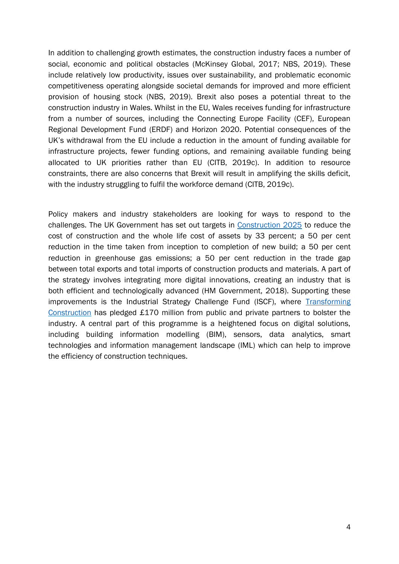In addition to challenging growth estimates, the construction industry faces a number of social, economic and political obstacles (McKinsey Global, 2017; NBS, 2019). These include relatively low productivity, issues over sustainability, and problematic economic competitiveness operating alongside societal demands for improved and more efficient provision of housing stock (NBS, 2019). Brexit also poses a potential threat to the construction industry in Wales. Whilst in the EU, Wales receives funding for infrastructure from a number of sources, including the Connecting Europe Facility (CEF), European Regional Development Fund (ERDF) and Horizon 2020. Potential consequences of the UK's withdrawal from the EU include a reduction in the amount of funding available for infrastructure projects, fewer funding options, and remaining available funding being allocated to UK priorities rather than EU (CITB, 2019c). In addition to resource constraints, there are also concerns that Brexit will result in amplifying the skills deficit, with the industry struggling to fulfil the workforce demand (CITB, 2019c).

Policy makers and industry stakeholders are looking for ways to respond to the challenges. The UK Government has set out targets in [Construction 2025](https://assets.publishing.service.gov.uk/government/uploads/system/uploads/attachment_data/file/210099/bis-13-955-construction-2025-industrial-strategy.pdf) to reduce the cost of construction and the whole life cost of assets by 33 percent; a 50 per cent reduction in the time taken from inception to completion of new build; a 50 per cent reduction in greenhouse gas emissions; a 50 per cent reduction in the trade gap between total exports and total imports of construction products and materials. A part of the strategy involves integrating more digital innovations, creating an industry that is both efficient and technologically advanced (HM Government, 2018). Supporting these improvements is the Industrial Strategy Challenge Fund (ISCF), where Transforming [Construction](https://www.ukri.org/innovation/industrial-strategy-challenge-fund/transforming-construction/) has pledged £170 million from public and private partners to bolster the industry. A central part of this programme is a heightened focus on digital solutions, including building information modelling (BIM), sensors, data analytics, smart technologies and information management landscape (IML) which can help to improve the efficiency of construction techniques.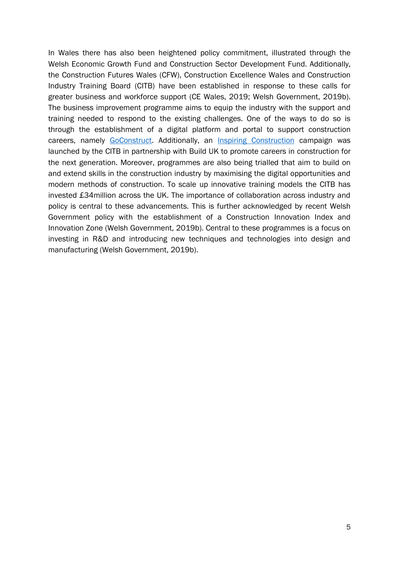In Wales there has also been heightened policy commitment, illustrated through the Welsh Economic Growth Fund and Construction Sector Development Fund. Additionally, the Construction Futures Wales (CFW), Construction Excellence Wales and Construction Industry Training Board (CITB) have been established in response to these calls for greater business and workforce support (CE Wales, 2019; Welsh Government, 2019b). The business improvement programme aims to equip the industry with the support and training needed to respond to the existing challenges. One of the ways to do so is through the establishment of a digital platform and portal to support construction careers, namely [GoConstruct.](https://www.goconstruct.org/) Additionally, an [Inspiring Construction](https://www.goconstruct.org/inspire/inspiring-construction/) campaign was launched by the CITB in partnership with Build UK to promote careers in construction for the next generation. Moreover, programmes are also being trialled that aim to build on and extend skills in the construction industry by maximising the digital opportunities and modern methods of construction. To scale up innovative training models the CITB has invested £34million across the UK. The importance of collaboration across industry and policy is central to these advancements. This is further acknowledged by recent Welsh Government policy with the establishment of a Construction Innovation Index and Innovation Zone (Welsh Government, 2019b). Central to these programmes is a focus on investing in R&D and introducing new techniques and technologies into design and manufacturing (Welsh Government, 2019b).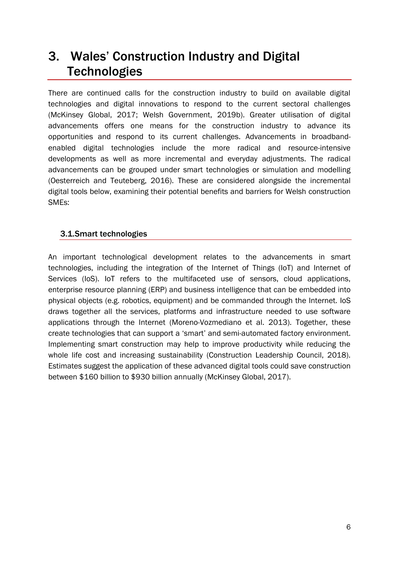# 3. Wales' Construction Industry and Digital **Technologies**

There are continued calls for the construction industry to build on available digital technologies and digital innovations to respond to the current sectoral challenges (McKinsey Global, 2017; Welsh Government, 2019b). Greater utilisation of digital advancements offers one means for the construction industry to advance its opportunities and respond to its current challenges. Advancements in broadbandenabled digital technologies include the more radical and resource-intensive developments as well as more incremental and everyday adjustments. The radical advancements can be grouped under smart technologies or simulation and modelling (Oesterreich and Teuteberg, 2016). These are considered alongside the incremental digital tools below, examining their potential benefits and barriers for Welsh construction SMEs:

### 3.1.Smart technologies

An important technological development relates to the advancements in smart technologies, including the integration of the Internet of Things (IoT) and Internet of Services (IoS). IoT refers to the multifaceted use of sensors, cloud applications, enterprise resource planning (ERP) and business intelligence that can be embedded into physical objects (e.g. robotics, equipment) and be commanded through the Internet. IoS draws together all the services, platforms and infrastructure needed to use software applications through the Internet (Moreno-Vozmediano et al. 2013). Together, these create technologies that can support a 'smart' and semi-automated factory environment. Implementing smart construction may help to improve productivity while reducing the whole life cost and increasing sustainability (Construction Leadership Council, 2018). Estimates suggest the application of these advanced digital tools could save construction between \$160 billion to \$930 billion annually (McKinsey Global, 2017).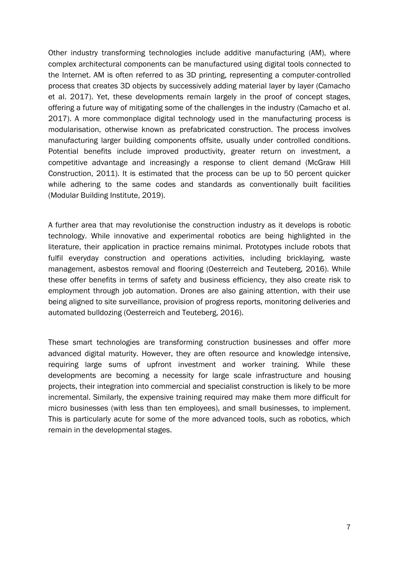Other industry transforming technologies include additive manufacturing (AM), where complex architectural components can be manufactured using digital tools connected to the Internet. AM is often referred to as 3D printing, representing a computer-controlled process that creates 3D objects by successively adding material layer by layer (Camacho et al. 2017). Yet, these developments remain largely in the proof of concept stages, offering a future way of mitigating some of the challenges in the industry (Camacho et al. 2017). A more commonplace digital technology used in the manufacturing process is modularisation, otherwise known as prefabricated construction. The process involves manufacturing larger building components offsite, usually under controlled conditions. Potential benefits include improved productivity, greater return on investment, a competitive advantage and increasingly a response to client demand (McGraw Hill Construction, 2011). It is estimated that the process can be up to 50 percent quicker while adhering to the same codes and standards as conventionally built facilities (Modular Building Institute, 2019).

A further area that may revolutionise the construction industry as it develops is robotic technology. While innovative and experimental robotics are being highlighted in the literature, their application in practice remains minimal. Prototypes include robots that fulfil everyday construction and operations activities, including bricklaying, waste management, asbestos removal and flooring (Oesterreich and Teuteberg, 2016). While these offer benefits in terms of safety and business efficiency, they also create risk to employment through job automation. Drones are also gaining attention, with their use being aligned to site surveillance, provision of progress reports, monitoring deliveries and automated bulldozing (Oesterreich and Teuteberg, 2016).

These smart technologies are transforming construction businesses and offer more advanced digital maturity. However, they are often resource and knowledge intensive, requiring large sums of upfront investment and worker training. While these developments are becoming a necessity for large scale infrastructure and housing projects, their integration into commercial and specialist construction is likely to be more incremental. Similarly, the expensive training required may make them more difficult for micro businesses (with less than ten employees), and small businesses, to implement. This is particularly acute for some of the more advanced tools, such as robotics, which remain in the developmental stages.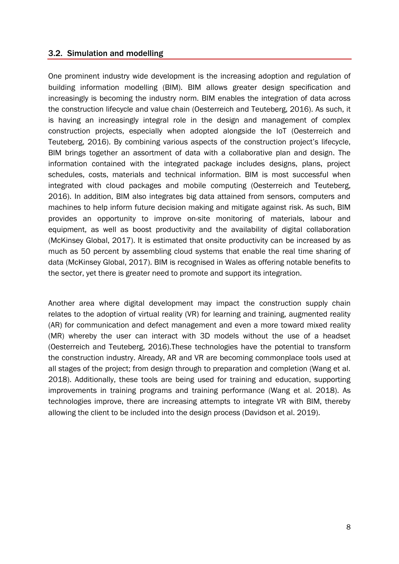### 3.2. Simulation and modelling

One prominent industry wide development is the increasing adoption and regulation of building information modelling (BIM). BIM allows greater design specification and increasingly is becoming the industry norm. BIM enables the integration of data across the construction lifecycle and value chain (Oesterreich and Teuteberg, 2016). As such, it is having an increasingly integral role in the design and management of complex construction projects, especially when adopted alongside the IoT (Oesterreich and Teuteberg, 2016). By combining various aspects of the construction project's lifecycle, BIM brings together an assortment of data with a collaborative plan and design. The information contained with the integrated package includes designs, plans, project schedules, costs, materials and technical information. BIM is most successful when integrated with cloud packages and mobile computing (Oesterreich and Teuteberg, 2016). In addition, BIM also integrates big data attained from sensors, computers and machines to help inform future decision making and mitigate against risk. As such, BIM provides an opportunity to improve on-site monitoring of materials, labour and equipment, as well as boost productivity and the availability of digital collaboration (McKinsey Global, 2017). It is estimated that onsite productivity can be increased by as much as 50 percent by assembling cloud systems that enable the real time sharing of data (McKinsey Global, 2017). BIM is recognised in Wales as offering notable benefits to the sector, yet there is greater need to promote and support its integration.

Another area where digital development may impact the construction supply chain relates to the adoption of virtual reality (VR) for learning and training, augmented reality (AR) for communication and defect management and even a more toward mixed reality (MR) whereby the user can interact with 3D models without the use of a headset (Oesterreich and Teuteberg, 2016).These technologies have the potential to transform the construction industry. Already, AR and VR are becoming commonplace tools used at all stages of the project; from design through to preparation and completion (Wang et al. 2018). Additionally, these tools are being used for training and education, supporting improvements in training programs and training performance (Wang et al. 2018). As technologies improve, there are increasing attempts to integrate VR with BIM, thereby allowing the client to be included into the design process (Davidson et al. 2019).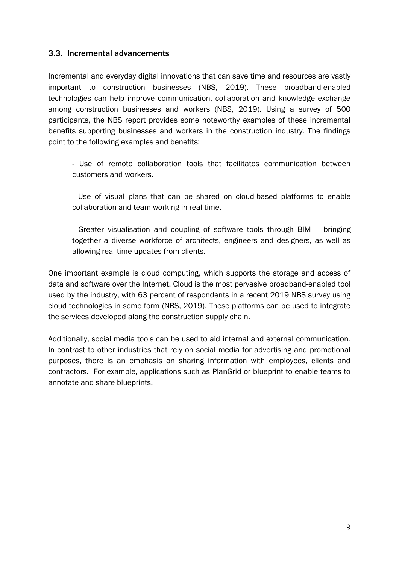### 3.3. Incremental advancements

Incremental and everyday digital innovations that can save time and resources are vastly important to construction businesses (NBS, 2019). These broadband-enabled technologies can help improve communication, collaboration and knowledge exchange among construction businesses and workers (NBS, 2019). Using a survey of 500 participants, the NBS report provides some noteworthy examples of these incremental benefits supporting businesses and workers in the construction industry. The findings point to the following examples and benefits:

- Use of remote collaboration tools that facilitates communication between customers and workers.

- Use of visual plans that can be shared on cloud-based platforms to enable collaboration and team working in real time.

- Greater visualisation and coupling of software tools through BIM – bringing together a diverse workforce of architects, engineers and designers, as well as allowing real time updates from clients.

One important example is cloud computing, which supports the storage and access of data and software over the Internet. Cloud is the most pervasive broadband-enabled tool used by the industry, with 63 percent of respondents in a recent 2019 NBS survey using cloud technologies in some form (NBS, 2019). These platforms can be used to integrate the services developed along the construction supply chain.

Additionally, social media tools can be used to aid internal and external communication. In contrast to other industries that rely on social media for advertising and promotional purposes, there is an emphasis on sharing information with employees, clients and contractors. For example, applications such as PlanGrid or blueprint to enable teams to annotate and share blueprints.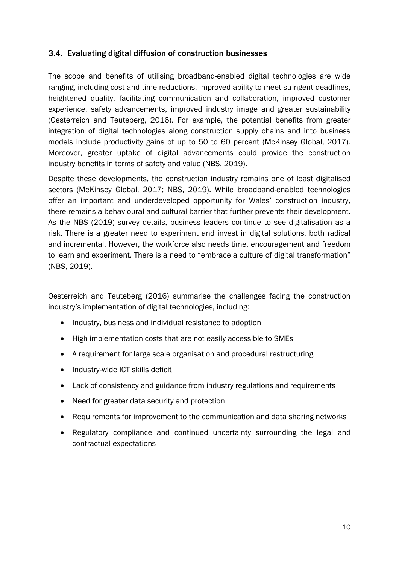### 3.4. Evaluating digital diffusion of construction businesses

The scope and benefits of utilising broadband-enabled digital technologies are wide ranging, including cost and time reductions, improved ability to meet stringent deadlines, heightened quality, facilitating communication and collaboration, improved customer experience, safety advancements, improved industry image and greater sustainability (Oesterreich and Teuteberg, 2016). For example, the potential benefits from greater integration of digital technologies along construction supply chains and into business models include productivity gains of up to 50 to 60 percent (McKinsey Global, 2017). Moreover, greater uptake of digital advancements could provide the construction industry benefits in terms of safety and value (NBS, 2019).

Despite these developments, the construction industry remains one of least digitalised sectors (McKinsey Global, 2017; NBS, 2019). While broadband-enabled technologies offer an important and underdeveloped opportunity for Wales' construction industry, there remains a behavioural and cultural barrier that further prevents their development. As the NBS (2019) survey details, business leaders continue to see digitalisation as a risk. There is a greater need to experiment and invest in digital solutions, both radical and incremental. However, the workforce also needs time, encouragement and freedom to learn and experiment. There is a need to "embrace a culture of digital transformation" (NBS, 2019).

Oesterreich and Teuteberg (2016) summarise the challenges facing the construction industry's implementation of digital technologies, including:

- Industry, business and individual resistance to adoption
- High implementation costs that are not easily accessible to SMEs
- A requirement for large scale organisation and procedural restructuring
- Industry-wide ICT skills deficit
- Lack of consistency and guidance from industry regulations and requirements
- Need for greater data security and protection
- Requirements for improvement to the communication and data sharing networks
- Regulatory compliance and continued uncertainty surrounding the legal and contractual expectations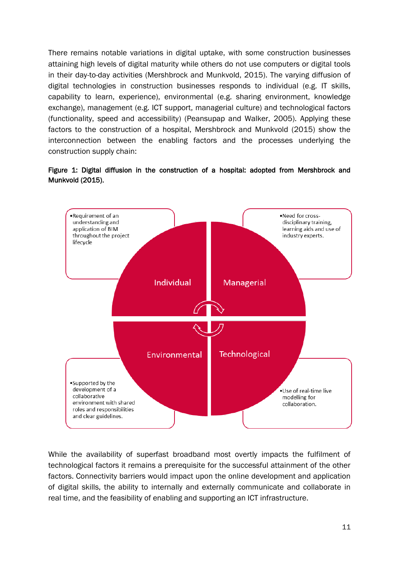There remains notable variations in digital uptake, with some construction businesses attaining high levels of digital maturity while others do not use computers or digital tools in their day-to-day activities (Mershbrock and Munkvold, 2015). The varying diffusion of digital technologies in construction businesses responds to individual (e.g. IT skills, capability to learn, experience), environmental (e.g. sharing environment, knowledge exchange), management (e.g. ICT support, managerial culture) and technological factors (functionality, speed and accessibility) (Peansupap and Walker, 2005). Applying these factors to the construction of a hospital, Mershbrock and Munkvold (2015) show the interconnection between the enabling factors and the processes underlying the construction supply chain:





While the availability of superfast broadband most overtly impacts the fulfilment of technological factors it remains a prerequisite for the successful attainment of the other factors. Connectivity barriers would impact upon the online development and application of digital skills, the ability to internally and externally communicate and collaborate in real time, and the feasibility of enabling and supporting an ICT infrastructure.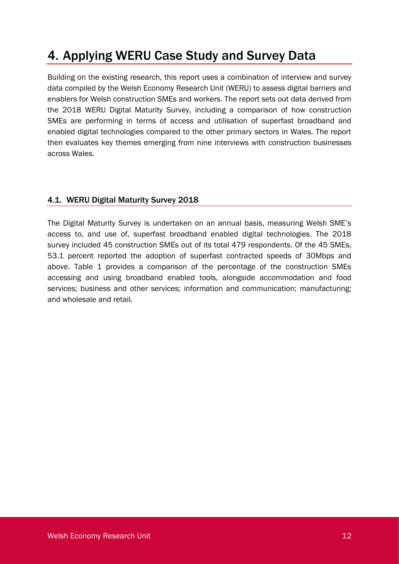# 4. Applying WERU Case Study and Survey Data

Building on the existing research, this report uses a combination of interview and survey data compiled by the Welsh Economy Research Unit (WERU) to assess digital barriers and enablers for Welsh construction SMEs and workers. The report sets out data derived from the 2018 WERU Digital Maturity Survey, including a comparison of how construction SMEs are performing in terms of access and utilisation of superfast broadband and enabled digital technologies compared to the other primary sectors in Wales. The report then evaluates key themes emerging from nine interviews with construction businesses across Wales.

### 4.1. WERU Digital Maturity Survey 2018

The Digital Maturity Survey is undertaken on an annual basis, measuring Welsh SME's access to, and use of, superfast broadband enabled digital technologies. The 2018 survey included 45 construction SMEs out of its total 479 respondents. Of the 45 SMEs, 53.1 percent reported the adoption of superfast contracted speeds of 30Mbps and above. Table 1 provides a comparison of the percentage of the construction SMEs accessing and using broadband enabled tools, alongside accommodation and food services; business and other services; information and communication; manufacturing; and wholesale and retail.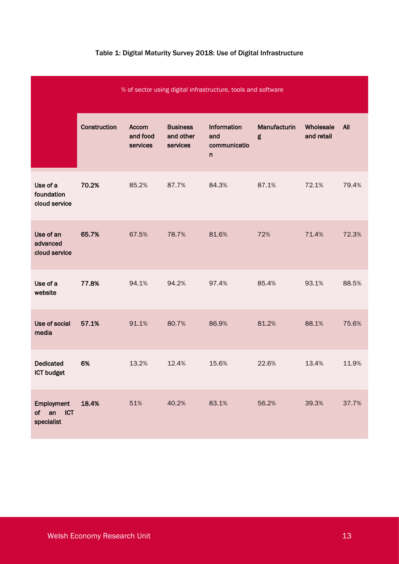| % of sector using digital infrastructure, tools and software |              |                               |                                          |                                                    |                   |                         |            |
|--------------------------------------------------------------|--------------|-------------------------------|------------------------------------------|----------------------------------------------------|-------------------|-------------------------|------------|
|                                                              | Construction | Accom<br>and food<br>services | <b>Business</b><br>and other<br>services | Information<br>and<br>communicatio<br>$\mathsf{n}$ | Manufacturin<br>g | Wholesale<br>and retail | <b>All</b> |
| Use of a<br>foundation<br>cloud service                      | 70.2%        | 85.2%                         | 87.7%                                    | 84.3%                                              | 87.1%             | 72.1%                   | 79.4%      |
| Use of an<br>advanced<br>cloud service                       | 65.7%        | 67.5%                         | 78.7%                                    | 81.6%                                              | 72%               | 71.4%                   | 72.3%      |
| Use of a<br>website                                          | 77.8%        | 94.1%                         | 94.2%                                    | 97.4%                                              | 85.4%             | 93.1%                   | 88.5%      |
| Use of social<br>media                                       | 57.1%        | 91.1%                         | 80.7%                                    | 86.9%                                              | 81.2%             | 88.1%                   | 75.6%      |
| <b>Dedicated</b><br><b>ICT budget</b>                        | 6%           | 13.2%                         | 12.4%                                    | 15.6%                                              | 22.6%             | 13.4%                   | 11.9%      |
| Employment<br>of an<br><b>ICT</b><br>specialist              | 18.4%        | 51%                           | 40.2%                                    | 83.1%                                              | 56.2%             | 39.3%                   | 37.7%      |

### Table 1: Digital Maturity Survey 2018: Use of Digital Infrastructure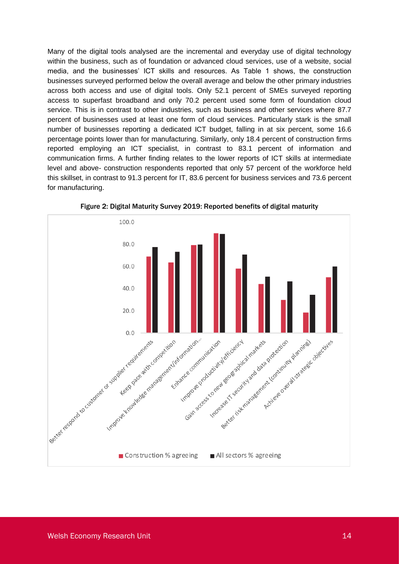Many of the digital tools analysed are the incremental and everyday use of digital technology within the business, such as of foundation or advanced cloud services, use of a website, social media, and the businesses' ICT skills and resources. As Table 1 shows, the construction businesses surveyed performed below the overall average and below the other primary industries across both access and use of digital tools. Only 52.1 percent of SMEs surveyed reporting access to superfast broadband and only 70.2 percent used some form of foundation cloud service. This is in contrast to other industries, such as business and other services where 87.7 percent of businesses used at least one form of cloud services. Particularly stark is the small number of businesses reporting a dedicated ICT budget, falling in at six percent, some 16.6 percentage points lower than for manufacturing. Similarly, only 18.4 percent of construction firms reported employing an ICT specialist, in contrast to 83.1 percent of information and communication firms. A further finding relates to the lower reports of ICT skills at intermediate level and above- construction respondents reported that only 57 percent of the workforce held this skillset, in contrast to 91.3 percent for IT, 83.6 percent for business services and 73.6 percent for manufacturing.



Figure 2: Digital Maturity Survey 2019: Reported benefits of digital maturity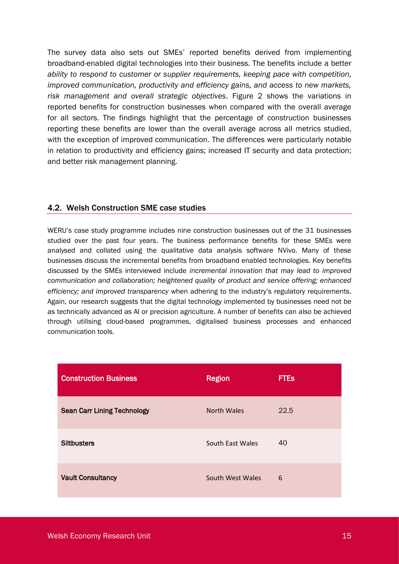The survey data also sets out SMEs' reported benefits derived from implementing broadband-enabled digital technologies into their business. The benefits include a better *ability to respond to customer or supplier requirements, keeping pace with competition, improved communication, productivity and efficiency gains, and access to new markets, risk management and overall strategic objectives*. Figure 2 shows the variations in reported benefits for construction businesses when compared with the overall average for all sectors. The findings highlight that the percentage of construction businesses reporting these benefits are lower than the overall average across all metrics studied, with the exception of improved communication. The differences were particularly notable in relation to productivity and efficiency gains; increased IT security and data protection; and better risk management planning.

### 4.2. Welsh Construction SME case studies

WERU's case study programme includes nine construction businesses out of the 31 businesses studied over the past four years. The business performance benefits for these SMEs were analysed and collated using the qualitative data analysis software NVivo. Many of these businesses discuss the incremental benefits from broadband enabled technologies. Key benefits discussed by the SMEs interviewed include *incremental innovation that may lead to improved communication and collaboration; heightened quality of product and service offering; enhanced efficiency; and improved transparency* when adhering to the industry's regulatory requirements. Again, our research suggests that the digital technology implemented by businesses need not be as technically advanced as AI or precision agriculture. A number of benefits can also be achieved through utilising cloud-based programmes, digitalised business processes and enhanced communication tools.

| <b>Construction Business</b>       | <b>Region</b>    | <b>FTES</b> |
|------------------------------------|------------------|-------------|
| <b>Sean Carr Lining Technology</b> | North Wales      | 22.5        |
| <b>Siltbusters</b>                 | South East Wales | 40          |
| <b>Vault Consultancy</b>           | South West Wales | 6           |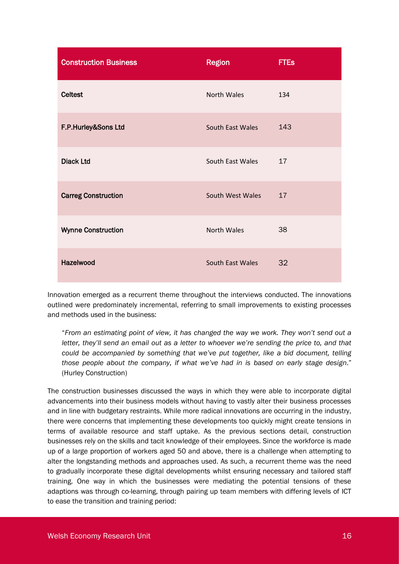| <b>Construction Business</b> | <b>Region</b>      | <b>FTEs</b> |
|------------------------------|--------------------|-------------|
| <b>Celtest</b>               | <b>North Wales</b> | 134         |
| F.P.Hurley&Sons Ltd          | South East Wales   | 143         |
| <b>Diack Ltd</b>             | South East Wales   | 17          |
| <b>Carreg Construction</b>   | South West Wales   | 17          |
| <b>Wynne Construction</b>    | <b>North Wales</b> | 38          |
| Hazelwood                    | South East Wales   | 32          |

Innovation emerged as a recurrent theme throughout the interviews conducted. The innovations outlined were predominately incremental, referring to small improvements to existing processes and methods used in the business:

"*From an estimating point of view, it has changed the way we work. They won't send out a letter, they'll send an email out as a letter to whoever we're sending the price to, and that could be accompanied by something that we've put together, like a bid document, telling those people about the company, if what we've had in is based on early stage design*." (Hurley Construction)

The construction businesses discussed the ways in which they were able to incorporate digital advancements into their business models without having to vastly alter their business processes and in line with budgetary restraints. While more radical innovations are occurring in the industry, there were concerns that implementing these developments too quickly might create tensions in terms of available resource and staff uptake. As the previous sections detail, construction businesses rely on the skills and tacit knowledge of their employees. Since the workforce is made up of a large proportion of workers aged 50 and above, there is a challenge when attempting to alter the longstanding methods and approaches used. As such, a recurrent theme was the need to gradually incorporate these digital developments whilst ensuring necessary and tailored staff training. One way in which the businesses were mediating the potential tensions of these adaptions was through co-learning, through pairing up team members with differing levels of ICT to ease the transition and training period: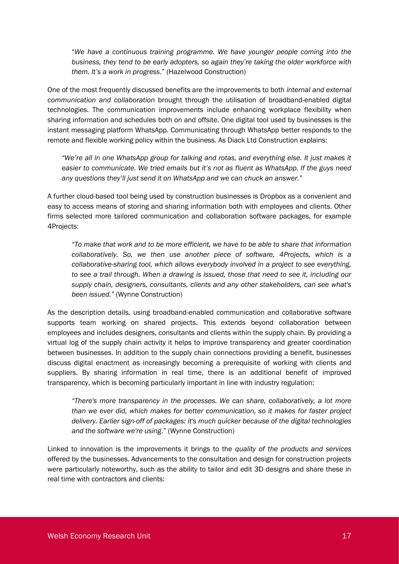"*We have a continuous training programme. We have younger people coming into the business, they tend to be early adopters, so again they're taking the older workforce with them. It's a work in progress*." (Hazelwood Construction)

One of the most frequently discussed benefits are the improvements to both *internal and external communication and collaboration* brought through the utilisation of broadband-enabled digital technologies. The communication improvements include enhancing workplace flexibility when sharing information and schedules both on and offsite. One digital tool used by businesses is the instant messaging platform WhatsApp. Communicating through WhatsApp better responds to the remote and flexible working policy within the business. As Diack Ltd Construction explains:

*"We're all in one WhatsApp group for talking and rotas, and everything else. It just makes it easier to communicate. We tried emails but it's not as fluent as WhatsApp. If the guys need any questions they'll just send it on WhatsApp and we can chuck an answer."*

A further cloud-based tool being used by construction businesses is Dropbox as a convenient and easy to access means of storing and sharing information both with employees and clients. Other firms selected more tailored communication and collaboration software packages, for example 4Projects:

*"To make that work and to be more efficient, we have to be able to share that information collaboratively. So, we then use another piece of software, 4Projects, which is a collaborative-sharing tool, which allows everybody involved in a project to see everything, to see a trail through. When a drawing is issued, those that need to see it, including our supply chain, designers, consultants, clients and any other stakeholders, can see what's been issued."* (Wynne Construction)

As the description details, using broadband-enabled communication and collaborative software supports team working on shared projects. This extends beyond collaboration between employees and includes designers, consultants and clients within the supply chain. By providing a virtual log of the supply chain activity it helps to improve transparency and greater coordination between businesses. In addition to the supply chain connections providing a benefit, businesses discuss digital enactment as increasingly becoming a prerequisite of working with clients and suppliers. By sharing information in real time, there is an additional benefit of improved transparency, which is becoming particularly important in line with industry regulation:

*"There's more transparency in the processes. We can share, collaboratively, a lot more than we ever did, which makes for better communication, so it makes for faster project delivery. Earlier sign-off of packages: it's much quicker because of the digital technologies and the software we're using*." (Wynne Construction)

Linked to innovation is the improvements it brings to the *quality of the products and services* offered by the businesses. Advancements to the consultation and design for construction projects were particularly noteworthy, such as the ability to tailor and edit 3D designs and share these in real time with contractors and clients: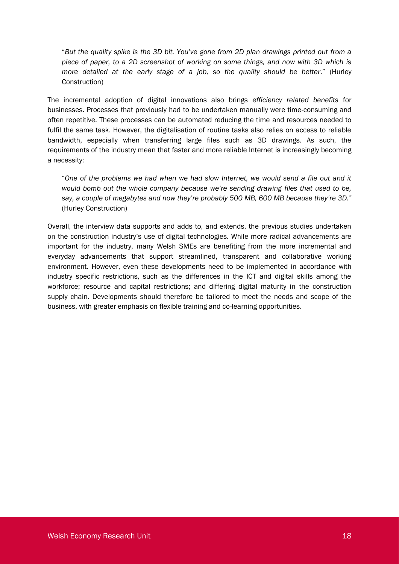"*But the quality spike is the 3D bit. You've gone from 2D plan drawings printed out from a piece of paper, to a 2D screenshot of working on some things, and now with 3D which is more detailed at the early stage of a job, so the quality should be better*." (Hurley Construction)

The incremental adoption of digital innovations also brings *efficiency related benefits* for businesses. Processes that previously had to be undertaken manually were time-consuming and often repetitive. These processes can be automated reducing the time and resources needed to fulfil the same task. However, the digitalisation of routine tasks also relies on access to reliable bandwidth, especially when transferring large files such as 3D drawings. As such, the requirements of the industry mean that faster and more reliable Internet is increasingly becoming a necessity:

"*One of the problems we had when we had slow Internet, we would send a file out and it would bomb out the whole company because we're sending drawing files that used to be, say, a couple of megabytes and now they're probably 500 MB, 600 MB because they're 3D."* (Hurley Construction)

Overall, the interview data supports and adds to, and extends, the previous studies undertaken on the construction industry's use of digital technologies. While more radical advancements are important for the industry, many Welsh SMEs are benefiting from the more incremental and everyday advancements that support streamlined, transparent and collaborative working environment. However, even these developments need to be implemented in accordance with industry specific restrictions, such as the differences in the ICT and digital skills among the workforce; resource and capital restrictions; and differing digital maturity in the construction supply chain. Developments should therefore be tailored to meet the needs and scope of the business, with greater emphasis on flexible training and co-learning opportunities.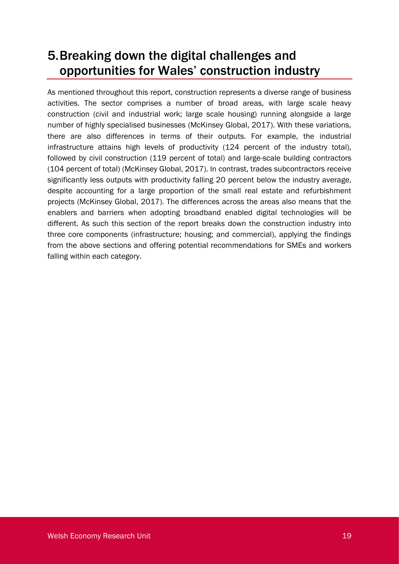# 5.Breaking down the digital challenges and opportunities for Wales' construction industry

As mentioned throughout this report, construction represents a diverse range of business activities. The sector comprises a number of broad areas, with large scale heavy construction (civil and industrial work; large scale housing) running alongside a large number of highly specialised businesses (McKinsey Global, 2017). With these variations, there are also differences in terms of their outputs. For example, the industrial infrastructure attains high levels of productivity (124 percent of the industry total), followed by civil construction (119 percent of total) and large-scale building contractors (104 percent of total) (McKinsey Global, 2017). In contrast, trades subcontractors receive significantly less outputs with productivity falling 20 percent below the industry average, despite accounting for a large proportion of the small real estate and refurbishment projects (McKinsey Global, 2017). The differences across the areas also means that the enablers and barriers when adopting broadband enabled digital technologies will be different. As such this section of the report breaks down the construction industry into three core components (infrastructure; housing; and commercial), applying the findings from the above sections and offering potential recommendations for SMEs and workers falling within each category.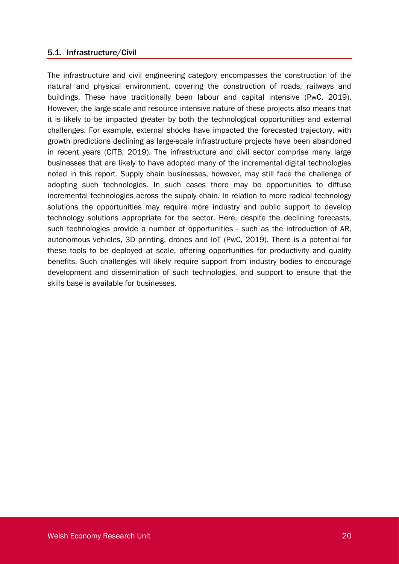#### 5.1. Infrastructure/Civil

The infrastructure and civil engineering category encompasses the construction of the natural and physical environment, covering the construction of roads, railways and buildings. These have traditionally been labour and capital intensive (PwC, 2019). However, the large-scale and resource intensive nature of these projects also means that it is likely to be impacted greater by both the technological opportunities and external challenges. For example, external shocks have impacted the forecasted trajectory, with growth predictions declining as large-scale infrastructure projects have been abandoned in recent years (CITB, 2019). The infrastructure and civil sector comprise many large businesses that are likely to have adopted many of the incremental digital technologies noted in this report. Supply chain businesses, however, may still face the challenge of adopting such technologies. In such cases there may be opportunities to diffuse incremental technologies across the supply chain. In relation to more radical technology solutions the opportunities may require more industry and public support to develop technology solutions appropriate for the sector. Here, despite the declining forecasts, such technologies provide a number of opportunities - such as the introduction of AR, autonomous vehicles, 3D printing, drones and IoT (PwC, 2019). There is a potential for these tools to be deployed at scale, offering opportunities for productivity and quality benefits. Such challenges will likely require support from industry bodies to encourage development and dissemination of such technologies, and support to ensure that the skills base is available for businesses.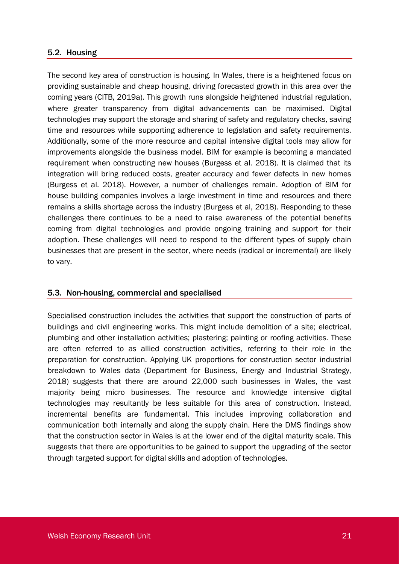#### 5.2. Housing

The second key area of construction is housing. In Wales, there is a heightened focus on providing sustainable and cheap housing, driving forecasted growth in this area over the coming years (CITB, 2019a). This growth runs alongside heightened industrial regulation, where greater transparency from digital advancements can be maximised. Digital technologies may support the storage and sharing of safety and regulatory checks, saving time and resources while supporting adherence to legislation and safety requirements. Additionally, some of the more resource and capital intensive digital tools may allow for improvements alongside the business model. BIM for example is becoming a mandated requirement when constructing new houses (Burgess et al. 2018). It is claimed that its integration will bring reduced costs, greater accuracy and fewer defects in new homes (Burgess et al. 2018). However, a number of challenges remain. Adoption of BIM for house building companies involves a large investment in time and resources and there remains a skills shortage across the industry (Burgess et al, 2018). Responding to these challenges there continues to be a need to raise awareness of the potential benefits coming from digital technologies and provide ongoing training and support for their adoption. These challenges will need to respond to the different types of supply chain businesses that are present in the sector, where needs (radical or incremental) are likely to vary.

#### 5.3. Non-housing, commercial and specialised

Specialised construction includes the activities that support the construction of parts of buildings and civil engineering works. This might include demolition of a site; electrical, plumbing and other installation activities; plastering; painting or roofing activities. These are often referred to as allied construction activities, referring to their role in the preparation for construction. Applying UK proportions for construction sector industrial breakdown to Wales data (Department for Business, Energy and Industrial Strategy, 2018) suggests that there are around 22,000 such businesses in Wales, the vast majority being micro businesses. The resource and knowledge intensive digital technologies may resultantly be less suitable for this area of construction. Instead, incremental benefits are fundamental. This includes improving collaboration and communication both internally and along the supply chain. Here the DMS findings show that the construction sector in Wales is at the lower end of the digital maturity scale. This suggests that there are opportunities to be gained to support the upgrading of the sector through targeted support for digital skills and adoption of technologies.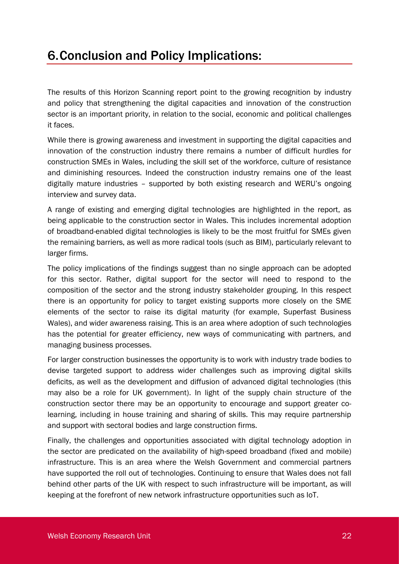# 6.Conclusion and Policy Implications:

The results of this Horizon Scanning report point to the growing recognition by industry and policy that strengthening the digital capacities and innovation of the construction sector is an important priority, in relation to the social, economic and political challenges it faces.

While there is growing awareness and investment in supporting the digital capacities and innovation of the construction industry there remains a number of difficult hurdles for construction SMEs in Wales, including the skill set of the workforce, culture of resistance and diminishing resources. Indeed the construction industry remains one of the least digitally mature industries – supported by both existing research and WERU's ongoing interview and survey data.

A range of existing and emerging digital technologies are highlighted in the report, as being applicable to the construction sector in Wales. This includes incremental adoption of broadband-enabled digital technologies is likely to be the most fruitful for SMEs given the remaining barriers, as well as more radical tools (such as BIM), particularly relevant to larger firms.

The policy implications of the findings suggest than no single approach can be adopted for this sector. Rather, digital support for the sector will need to respond to the composition of the sector and the strong industry stakeholder grouping. In this respect there is an opportunity for policy to target existing supports more closely on the SME elements of the sector to raise its digital maturity (for example, Superfast Business Wales), and wider awareness raising. This is an area where adoption of such technologies has the potential for greater efficiency, new ways of communicating with partners, and managing business processes.

For larger construction businesses the opportunity is to work with industry trade bodies to devise targeted support to address wider challenges such as improving digital skills deficits, as well as the development and diffusion of advanced digital technologies (this may also be a role for UK government). In light of the supply chain structure of the construction sector there may be an opportunity to encourage and support greater colearning, including in house training and sharing of skills. This may require partnership and support with sectoral bodies and large construction firms.

Finally, the challenges and opportunities associated with digital technology adoption in the sector are predicated on the availability of high-speed broadband (fixed and mobile) infrastructure. This is an area where the Welsh Government and commercial partners have supported the roll out of technologies. Continuing to ensure that Wales does not fall behind other parts of the UK with respect to such infrastructure will be important, as will keeping at the forefront of new network infrastructure opportunities such as IoT.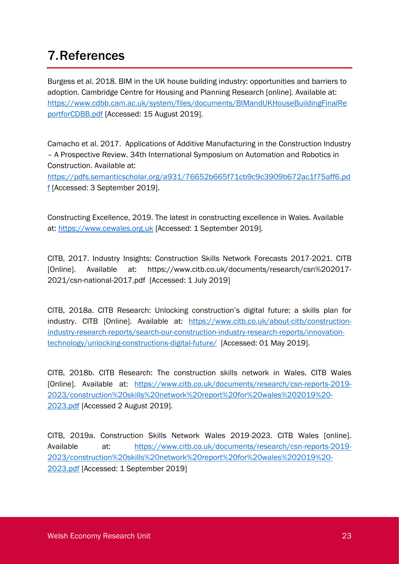# 7.References

Burgess et al. 2018. BIM in the UK house building industry: opportunities and barriers to adoption. Cambridge Centre for Housing and Planning Research [online]. Available at: [https://www.cdbb.cam.ac.uk/system/files/documents/BIMandUKHouseBuildingFinalRe](https://www.cdbb.cam.ac.uk/system/files/documents/BIMandUKHouseBuildingFinalReportforCDBB.pdf) [portforCDBB.pdf](https://www.cdbb.cam.ac.uk/system/files/documents/BIMandUKHouseBuildingFinalReportforCDBB.pdf) [Accessed: 15 August 2019].

Camacho et al. 2017. Applications of Additive Manufacturing in the Construction Industry – A Prospective Review. 34th International Symposium on Automation and Robotics in Construction. Available at:

[https://pdfs.semanticscholar.org/a931/76652b665f71cb9c9c3909b672ac1f75aff6.pd](https://pdfs.semanticscholar.org/a931/76652b665f71cb9c9c3909b672ac1f75aff6.pdf) [f](https://pdfs.semanticscholar.org/a931/76652b665f71cb9c9c3909b672ac1f75aff6.pdf) [Accessed: 3 September 2019].

Constructing Excellence, 2019. The latest in constructing excellence in Wales. Available at: [https://www.cewales.org.uk](https://www.cewales.org.uk/) [Accessed: 1 September 2019].

CITB, 2017. Industry Insights: Construction Skills Network Forecasts 2017-2021. CITB [Online]. Available at: https://www.citb.co.uk/documents/research/csn%202017- 2021/csn-national-2017.pdf [Accessed: 1 July 2019]

CITB, 2018a. CITB Research: Unlocking construction's digital future: a skills plan for industry. CITB [Online]. Available at: [https://www.citb.co.uk/about-citb/construction](https://www.citb.co.uk/about-citb/construction-industry-research-reports/search-our-construction-industry-research-reports/innovation-technology/unlocking-constructions-digital-future/)[industry-research-reports/search-our-construction-industry-research-reports/innovation](https://www.citb.co.uk/about-citb/construction-industry-research-reports/search-our-construction-industry-research-reports/innovation-technology/unlocking-constructions-digital-future/)[technology/unlocking-constructions-digital-future/](https://www.citb.co.uk/about-citb/construction-industry-research-reports/search-our-construction-industry-research-reports/innovation-technology/unlocking-constructions-digital-future/) [Accessed: 01 May 2019].

CITB, 2018b. CITB Research: The construction skills network in Wales. CITB Wales [Online]. Available at: [https://www.citb.co.uk/documents/research/csn-reports-2019-](https://www.citb.co.uk/documents/research/csn-reports-2019-2023/construction%20skills%20network%20report%20for%20wales%202019%20-2023.pdf) [2023/construction%20skills%20network%20report%20for%20wales%202019%20-](https://www.citb.co.uk/documents/research/csn-reports-2019-2023/construction%20skills%20network%20report%20for%20wales%202019%20-2023.pdf) [2023.pdf](https://www.citb.co.uk/documents/research/csn-reports-2019-2023/construction%20skills%20network%20report%20for%20wales%202019%20-2023.pdf) [Accessed 2 August 2019].

CITB, 2019a. Construction Skills Network Wales 2019-2023. CITB Wales [online]. Available at: [https://www.citb.co.uk/documents/research/csn-reports-2019-](https://www.citb.co.uk/documents/research/csn-reports-2019-2023/construction%20skills%20network%20report%20for%20wales%202019%20-2023.pdf) [2023/construction%20skills%20network%20report%20for%20wales%202019%20-](https://www.citb.co.uk/documents/research/csn-reports-2019-2023/construction%20skills%20network%20report%20for%20wales%202019%20-2023.pdf) [2023.pdf](https://www.citb.co.uk/documents/research/csn-reports-2019-2023/construction%20skills%20network%20report%20for%20wales%202019%20-2023.pdf) [Accessed: 1 September 2019]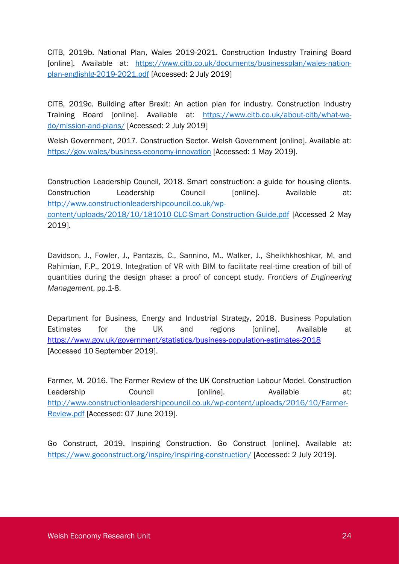CITB, 2019b. National Plan, Wales 2019-2021. Construction Industry Training Board [online]. Available at: [https://www.citb.co.uk/documents/businessplan/wales-nation](https://www.citb.co.uk/documents/businessplan/wales-nation-plan-englishlg-2019-2021.pdf)[plan-englishlg-2019-2021.pdf](https://www.citb.co.uk/documents/businessplan/wales-nation-plan-englishlg-2019-2021.pdf) [Accessed: 2 July 2019]

CITB, 2019c. Building after Brexit: An action plan for industry. Construction Industry Training Board [online]. Available at: [https://www.citb.co.uk/about-citb/what-we](https://www.citb.co.uk/about-citb/what-we-do/mission-and-plans/)[do/mission-and-plans/](https://www.citb.co.uk/about-citb/what-we-do/mission-and-plans/) [Accessed: 2 July 2019]

Welsh Government, 2017. Construction Sector. Welsh Government [online]. Available at: <https://gov.wales/business-economy-innovation> [Accessed: 1 May 2019].

Construction Leadership Council, 2018. Smart construction: a guide for housing clients. Construction Leadership Council [online]. Available at: [http://www.constructionleadershipcouncil.co.uk/wp](http://www.constructionleadershipcouncil.co.uk/wp-content/uploads/2018/10/181010-CLC-Smart-Construction-Guide.pdf)[content/uploads/2018/10/181010-CLC-Smart-Construction-Guide.pdf](http://www.constructionleadershipcouncil.co.uk/wp-content/uploads/2018/10/181010-CLC-Smart-Construction-Guide.pdf) [Accessed 2 May 2019].

Davidson, J., Fowler, J., Pantazis, C., Sannino, M., Walker, J., Sheikhkhoshkar, M. and Rahimian, F.P., 2019. Integration of VR with BIM to facilitate real-time creation of bill of quantities during the design phase: a proof of concept study. *Frontiers of Engineering Management*, pp.1-8.

Department for Business, Energy and Industrial Strategy, 2018. Business Population Estimates for the UK and regions [online]. Available at <https://www.gov.uk/government/statistics/business-population-estimates-2018> [Accessed 10 September 2019].

Farmer, M. 2016. The Farmer Review of the UK Construction Labour Model. Construction Leadership Council [online]. Available at: [http://www.constructionleadershipcouncil.co.uk/wp-content/uploads/2016/10/Farmer-](http://www.constructionleadershipcouncil.co.uk/wp-content/uploads/2016/10/Farmer-Review.pdf)[Review.pdf](http://www.constructionleadershipcouncil.co.uk/wp-content/uploads/2016/10/Farmer-Review.pdf) [Accessed: 07 June 2019].

Go Construct, 2019. Inspiring Construction. Go Construct [online]. Available at: <https://www.goconstruct.org/inspire/inspiring-construction/> [Accessed: 2 July 2019].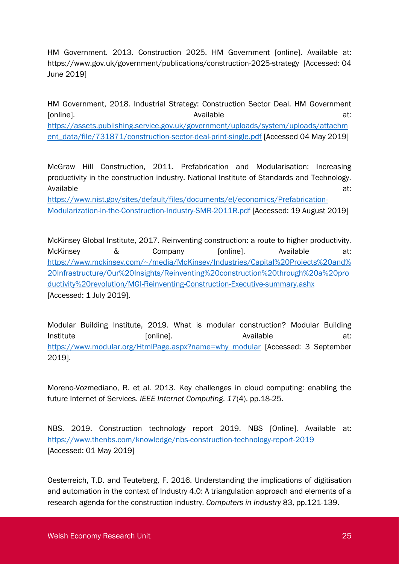HM Government. 2013. Construction 2025. HM Government [online]. Available at: https://www.gov.uk/government/publications/construction-2025-strategy [Accessed: 04 June 2019]

HM Government, 2018. Industrial Strategy: Construction Sector Deal. HM Government [online]. The act is a contract to a contract a contract at: a contract at: a contract at: a contract at: [https://assets.publishing.service.gov.uk/government/uploads/system/uploads/attachm](https://assets.publishing.service.gov.uk/government/uploads/system/uploads/attachment_data/file/731871/construction-sector-deal-print-single.pdf) [ent\\_data/file/731871/construction-sector-deal-print-single.pdf](https://assets.publishing.service.gov.uk/government/uploads/system/uploads/attachment_data/file/731871/construction-sector-deal-print-single.pdf) [Accessed 04 May 2019]

McGraw Hill Construction, 2011. Prefabrication and Modularisation: Increasing productivity in the construction industry. National Institute of Standards and Technology. Available at: the contract of the contract of the contract of the contract of the contract of the contract of the contract of the contract of the contract of the contract of the contract of the contract of the contract of

[https://www.nist.gov/sites/default/files/documents/el/economics/Prefabrication-](https://www.nist.gov/sites/default/files/documents/el/economics/Prefabrication-Modularization-in-the-Construction-Industry-SMR-2011R.pdf)[Modularization-in-the-Construction-Industry-SMR-2011R.pdf](https://www.nist.gov/sites/default/files/documents/el/economics/Prefabrication-Modularization-in-the-Construction-Industry-SMR-2011R.pdf) [Accessed: 19 August 2019]

McKinsey Global Institute, 2017. Reinventing construction: a route to higher productivity. McKinsey & Company [online]. Available at: [https://www.mckinsey.com/~/media/McKinsey/Industries/Capital%20Projects%20and%](https://www.mckinsey.com/~/media/McKinsey/Industries/Capital%20Projects%20and%20Infrastructure/Our%20Insights/Reinventing%20construction%20through%20a%20productivity%20revolution/MGI-Reinventing-Construction-Executive-summary.ashx) [20Infrastructure/Our%20Insights/Reinventing%20construction%20through%20a%20pro](https://www.mckinsey.com/~/media/McKinsey/Industries/Capital%20Projects%20and%20Infrastructure/Our%20Insights/Reinventing%20construction%20through%20a%20productivity%20revolution/MGI-Reinventing-Construction-Executive-summary.ashx) [ductivity%20revolution/MGI-Reinventing-Construction-Executive-summary.ashx](https://www.mckinsey.com/~/media/McKinsey/Industries/Capital%20Projects%20and%20Infrastructure/Our%20Insights/Reinventing%20construction%20through%20a%20productivity%20revolution/MGI-Reinventing-Construction-Executive-summary.ashx) [Accessed: 1 July 2019].

Modular Building Institute, 2019. What is modular construction? Modular Building Institute at: [online]. Available at: [https://www.modular.org/HtmlPage.aspx?name=why\\_modular](https://www.modular.org/HtmlPage.aspx?name=why_modular) [Accessed: 3 September 2019].

Moreno-Vozmediano, R. et al. 2013. Key challenges in cloud computing: enabling the future Internet of Services. *IEEE Internet Computing*, *17*(4), pp.18-25.

NBS. 2019. Construction technology report 2019. NBS [Online]. Available at: <https://www.thenbs.com/knowledge/nbs-construction-technology-report-2019> [Accessed: 01 May 2019]

Oesterreich, T.D. and Teuteberg, F. 2016. Understanding the implications of digitisation and automation in the context of Industry 4.0: A triangulation approach and elements of a research agenda for the construction industry. *Computers in Industry* 83, pp.121-139.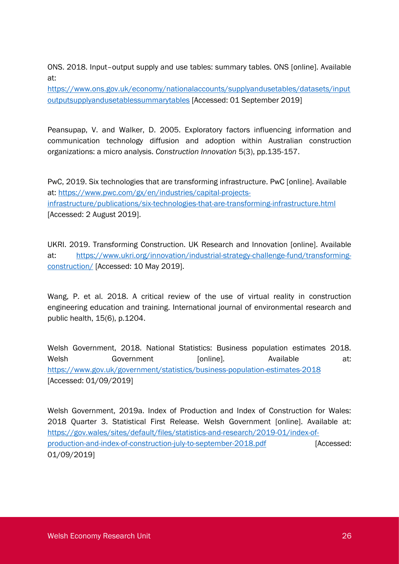ONS. 2018. Input–output supply and use tables: summary tables. ONS [online]. Available at:

[https://www.ons.gov.uk/economy/nationalaccounts/supplyandusetables/datasets/input](https://www.ons.gov.uk/economy/nationalaccounts/supplyandusetables/datasets/inputoutputsupplyandusetablessummarytables) [outputsupplyandusetablessummarytables](https://www.ons.gov.uk/economy/nationalaccounts/supplyandusetables/datasets/inputoutputsupplyandusetablessummarytables) [Accessed: 01 September 2019]

Peansupap, V. and Walker, D. 2005. Exploratory factors influencing information and communication technology diffusion and adoption within Australian construction organizations: a micro analysis. *Construction Innovation* 5(3), pp.135-157.

PwC, 2019. Six technologies that are transforming infrastructure. PwC [online]. Available at: [https://www.pwc.com/gx/en/industries/capital-projects](https://www.pwc.com/gx/en/industries/capital-projects-infrastructure/publications/six-technologies-that-are-transforming-infrastructure.html)[infrastructure/publications/six-technologies-that-are-transforming-infrastructure.html](https://www.pwc.com/gx/en/industries/capital-projects-infrastructure/publications/six-technologies-that-are-transforming-infrastructure.html) [Accessed: 2 August 2019].

UKRI. 2019. Transforming Construction. UK Research and Innovation [online]. Available at: [https://www.ukri.org/innovation/industrial-strategy-challenge-fund/transforming](https://www.ukri.org/innovation/industrial-strategy-challenge-fund/transforming-construction/)[construction/](https://www.ukri.org/innovation/industrial-strategy-challenge-fund/transforming-construction/) [Accessed: 10 May 2019].

Wang, P. et al. 2018. A critical review of the use of virtual reality in construction engineering education and training. International journal of environmental research and public health, 15(6), p.1204.

Welsh Government, 2018. National Statistics: Business population estimates 2018. Welsh Government [online]. Available at: <https://www.gov.uk/government/statistics/business-population-estimates-2018> [Accessed: 01/09/2019]

Welsh Government, 2019a. Index of Production and Index of Construction for Wales: 2018 Quarter 3. Statistical First Release. Welsh Government [online]. Available at: [https://gov.wales/sites/default/files/statistics-and-research/2019-01/index-of](https://gov.wales/sites/default/files/statistics-and-research/2019-01/index-of-production-and-index-of-construction-july-to-september-2018.pdf)[production-and-index-of-construction-july-to-september-2018.pdf](https://gov.wales/sites/default/files/statistics-and-research/2019-01/index-of-production-and-index-of-construction-july-to-september-2018.pdf) [Accessed: 01/09/2019]